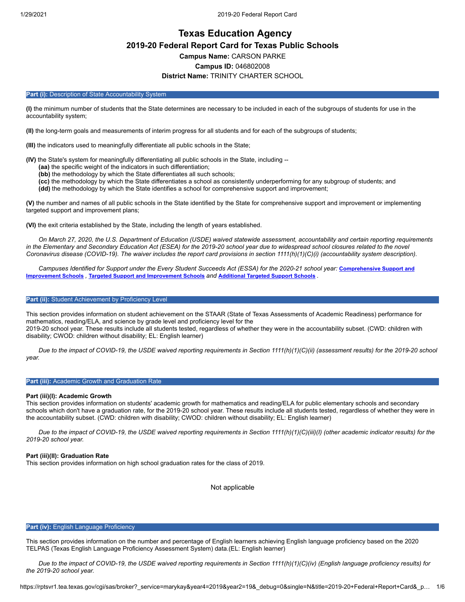# **Texas Education Agency 2019-20 Federal Report Card for Texas Public Schools Campus Name:** CARSON PARKE **Campus ID:** 046802008 **District Name:** TRINITY CHARTER SCHOOL

#### Part (i): Description of State Accountability System

**(I)** the minimum number of students that the State determines are necessary to be included in each of the subgroups of students for use in the accountability system;

**(II)** the long-term goals and measurements of interim progress for all students and for each of the subgroups of students;

**(III)** the indicators used to meaningfully differentiate all public schools in the State;

**(IV)** the State's system for meaningfully differentiating all public schools in the State, including --

- **(aa)** the specific weight of the indicators in such differentiation;
- **(bb)** the methodology by which the State differentiates all such schools;
- **(cc)** the methodology by which the State differentiates a school as consistently underperforming for any subgroup of students; and **(dd)** the methodology by which the State identifies a school for comprehensive support and improvement;

**(V)** the number and names of all public schools in the State identified by the State for comprehensive support and improvement or implementing targeted support and improvement plans;

**(VI)** the exit criteria established by the State, including the length of years established.

*On March 27, 2020, the U.S. Department of Education (USDE) waived statewide assessment, accountability and certain reporting requirements in the Elementary and Secondary Education Act (ESEA) for the 2019-20 school year due to widespread school closures related to the novel Coronavirus disease (COVID-19). The waiver includes the report card provisions in section 1111(h)(1)(C)(i) (accountability system description).*

*[Campuses Identified for Support under the Every Student Succeeds Act \(ESSA\) for the 2020-21 school year:](https://tea.texas.gov/sites/default/files/comprehensive_support_2020.xlsx)* **Comprehensive Support and Improvement Schools** *,* **Targeted Support and [Improvement](https://tea.texas.gov/sites/default/files/targeted_support_2020.xlsx) Schools** *and* **[Additional](https://tea.texas.gov/sites/default/files/additional_targeted_support_2020.xlsx) Targeted Support Schools** *.*

## Part (ii): Student Achievement by Proficiency Level

This section provides information on student achievement on the STAAR (State of Texas Assessments of Academic Readiness) performance for mathematics, reading/ELA, and science by grade level and proficiency level for the 2019-20 school year. These results include all students tested, regardless of whether they were in the accountability subset. (CWD: children with disability; CWOD: children without disability; EL: English learner)

*Due to the impact of COVID-19, the USDE waived reporting requirements in Section 1111(h)(1)(C)(ii) (assessment results) for the 2019-20 school year.*

#### **Part (iii):** Academic Growth and Graduation Rate

#### **Part (iii)(I): Academic Growth**

This section provides information on students' academic growth for mathematics and reading/ELA for public elementary schools and secondary schools which don't have a graduation rate, for the 2019-20 school year. These results include all students tested, regardless of whether they were in the accountability subset. (CWD: children with disability; CWOD: children without disability; EL: English learner)

*Due to the impact of COVID-19, the USDE waived reporting requirements in Section 1111(h)(1)(C)(iii)(I) (other academic indicator results) for the 2019-20 school year.*

### **Part (iii)(II): Graduation Rate**

This section provides information on high school graduation rates for the class of 2019.

Not applicable

#### **Part (iv):** English Language Proficiency

This section provides information on the number and percentage of English learners achieving English language proficiency based on the 2020 TELPAS (Texas English Language Proficiency Assessment System) data.(EL: English learner)

*Due to the impact of COVID-19, the USDE waived reporting requirements in Section 1111(h)(1)(C)(iv) (English language proficiency results) for the 2019-20 school year.*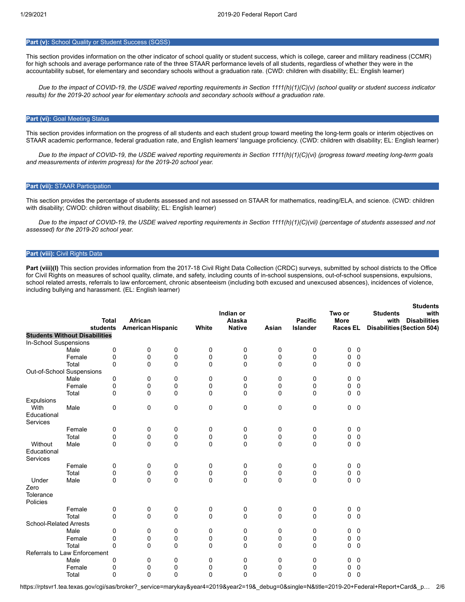## **Part (v):** School Quality or Student Success (SQSS)

This section provides information on the other indicator of school quality or student success, which is college, career and military readiness (CCMR) for high schools and average performance rate of the three STAAR performance levels of all students, regardless of whether they were in the accountability subset, for elementary and secondary schools without a graduation rate. (CWD: children with disability; EL: English learner)

*Due to the impact of COVID-19, the USDE waived reporting requirements in Section 1111(h)(1)(C)(v) (school quality or student success indicator results) for the 2019-20 school year for elementary schools and secondary schools without a graduation rate.*

## **Part (vi): Goal Meeting Status**

This section provides information on the progress of all students and each student group toward meeting the long-term goals or interim objectives on STAAR academic performance, federal graduation rate, and English learners' language proficiency. (CWD: children with disability; EL: English learner)

*Due to the impact of COVID-19, the USDE waived reporting requirements in Section 1111(h)(1)(C)(vi) (progress toward meeting long-term goals and measurements of interim progress) for the 2019-20 school year.*

#### **Part (vii):** STAAR Participation

This section provides the percentage of students assessed and not assessed on STAAR for mathematics, reading/ELA, and science. (CWD: children with disability; CWOD: children without disability; EL: English learner)

*Due to the impact of COVID-19, the USDE waived reporting requirements in Section 1111(h)(1)(C)(vii) (percentage of students assessed and not assessed) for the 2019-20 school year.*

## **Part (viii):** Civil Rights Data

Part (viii)(I) This section provides information from the 2017-18 Civil Right Data Collection (CRDC) surveys, submitted by school districts to the Office for Civil Rights on measures of school quality, climate, and safety, including counts of in-school suspensions, out-of-school suspensions, expulsions, school related arrests, referrals to law enforcement, chronic absenteeism (including both excused and unexcused absences), incidences of violence, including bullying and harassment. (EL: English learner)

|                               |                                      |          |                                     |             |             | Indian or               |             |                            | Two or                         | <b>Students</b><br><b>Students</b><br>with                       |
|-------------------------------|--------------------------------------|----------|-------------------------------------|-------------|-------------|-------------------------|-------------|----------------------------|--------------------------------|------------------------------------------------------------------|
|                               | <b>Total</b><br>students             |          | African<br><b>American Hispanic</b> |             | White       | Alaska<br><b>Native</b> | Asian       | <b>Pacific</b><br>Islander | <b>More</b><br><b>Races EL</b> | <b>Disabilities</b><br>with<br><b>Disabilities (Section 504)</b> |
|                               | <b>Students Without Disabilities</b> |          |                                     |             |             |                         |             |                            |                                |                                                                  |
| In-School Suspensions         |                                      |          |                                     |             |             |                         |             |                            |                                |                                                                  |
|                               | Male                                 | 0        | 0                                   | 0           | 0           | 0                       | 0           | $\pmb{0}$                  | 0<br>$\mathbf 0$               |                                                                  |
|                               | Female                               | 0        | 0                                   | 0           | 0           | 0                       | 0           | 0                          | $\mathbf 0$<br>0               |                                                                  |
|                               | Total                                | 0        | 0                                   | 0           | 0           | 0                       | 0           | 0                          | $\mathbf{0}$<br>0              |                                                                  |
|                               | Out-of-School Suspensions            |          |                                     |             |             |                         |             |                            |                                |                                                                  |
|                               | Male                                 | 0        | 0                                   | 0           | 0           | 0                       | 0           | 0                          | 0<br>0                         |                                                                  |
|                               | Female                               | 0        | 0                                   | 0           | 0           | 0                       | 0           | 0                          | 0<br>0                         |                                                                  |
|                               | Total                                | 0        | 0                                   | 0           | 0           | 0                       | 0           | 0                          | $\mathbf 0$<br>0               |                                                                  |
| Expulsions                    |                                      |          |                                     |             |             |                         |             |                            |                                |                                                                  |
| With                          | Male                                 | 0        | 0                                   | 0           | 0           | 0                       | 0           | 0                          | $0\quad 0$                     |                                                                  |
| Educational                   |                                      |          |                                     |             |             |                         |             |                            |                                |                                                                  |
| Services                      |                                      |          |                                     |             |             |                         |             |                            |                                |                                                                  |
|                               | Female                               | 0        | 0                                   | 0           | 0           | 0                       | 0           | 0                          | 0<br>0                         |                                                                  |
|                               | Total                                | 0        | 0                                   | 0           | 0           | 0                       | 0           | 0                          | 0<br>0                         |                                                                  |
| Without                       | Male                                 | 0        | 0                                   | $\mathbf 0$ | $\mathbf 0$ | $\mathbf 0$             | $\mathbf 0$ | 0                          | $\mathbf 0$<br>$\mathbf{0}$    |                                                                  |
| Educational                   |                                      |          |                                     |             |             |                         |             |                            |                                |                                                                  |
| Services                      |                                      |          |                                     |             |             |                         |             |                            |                                |                                                                  |
|                               | Female                               | 0        | 0                                   | 0           | 0           | 0                       | 0           | 0                          | 0<br>0                         |                                                                  |
|                               | Total                                | 0        | 0                                   | $\mathsf 0$ | 0           | 0                       | 0           | 0                          | $\mathsf 0$<br>$\mathbf 0$     |                                                                  |
| Under                         | Male                                 | 0        | 0                                   | 0           | 0           | $\mathbf 0$             | $\mathbf 0$ | $\mathbf 0$                | $0\quad 0$                     |                                                                  |
| Zero                          |                                      |          |                                     |             |             |                         |             |                            |                                |                                                                  |
| Tolerance                     |                                      |          |                                     |             |             |                         |             |                            |                                |                                                                  |
| Policies                      |                                      |          |                                     |             |             |                         |             |                            |                                |                                                                  |
|                               | Female                               | 0        | 0                                   | 0           | 0           | 0                       | 0           | 0                          | 0<br>0                         |                                                                  |
|                               | Total                                | 0        | 0                                   | 0           | 0           | 0                       | 0           | 0                          | $0\quad 0$                     |                                                                  |
| <b>School-Related Arrests</b> |                                      |          |                                     |             |             |                         |             |                            |                                |                                                                  |
|                               | Male                                 | 0        | 0                                   | 0           | 0           | 0                       | 0           | 0                          | 0<br>0                         |                                                                  |
|                               | Female                               | 0        | 0                                   | 0           | 0           | 0                       | 0           | 0                          | 0<br>0                         |                                                                  |
|                               | Total                                | $\Omega$ | 0                                   | 0           | 0           | 0                       | 0           | 0                          | $\mathbf 0$<br>$\mathbf 0$     |                                                                  |
|                               | <b>Referrals to Law Enforcement</b>  |          |                                     |             |             |                         |             |                            |                                |                                                                  |
|                               | Male                                 | 0        | 0                                   | 0           | 0           | 0                       | 0           | 0                          | 0<br>0                         |                                                                  |
|                               | Female                               | 0        | 0                                   | 0           | 0           | 0                       | 0           | 0                          | $\pmb{0}$<br>0                 |                                                                  |
|                               | Total                                | 0        | 0                                   | $\mathbf 0$ | 0           | $\mathbf 0$             | 0           | 0                          | $\mathbf 0$<br>0               |                                                                  |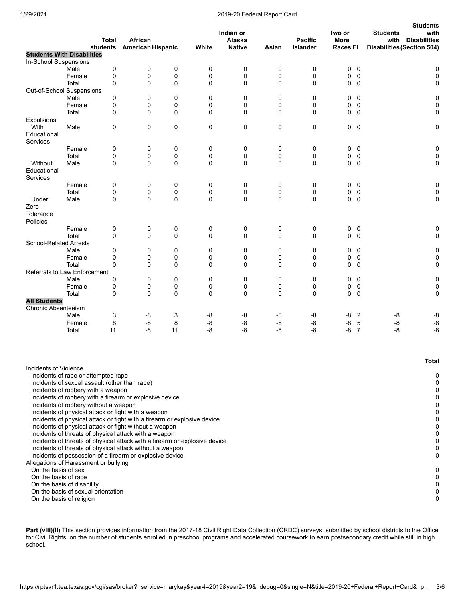### 1/29/2021 2019-20 Federal Report Card

|                                    |                                                                                      | <b>Total</b> | African                  |             |                  | Indian or<br>Alaska |                  | <b>Pacific</b>  | Two or<br><b>More</b>                    | <b>Students</b><br><b>Students</b><br>with<br>with<br><b>Disabilities</b> |
|------------------------------------|--------------------------------------------------------------------------------------|--------------|--------------------------|-------------|------------------|---------------------|------------------|-----------------|------------------------------------------|---------------------------------------------------------------------------|
|                                    | students<br><b>Students With Disabilities</b>                                        |              | <b>American Hispanic</b> |             | White            | <b>Native</b>       | Asian            | <b>Islander</b> | Races EL                                 | <b>Disabilities (Section 504)</b>                                         |
| In-School Suspensions              |                                                                                      |              |                          |             |                  |                     |                  |                 |                                          |                                                                           |
|                                    | Male                                                                                 | 0            | 0                        | 0           | 0                | 0                   | 0                | 0               | 0<br>0                                   | 0                                                                         |
|                                    | Female                                                                               | 0            | $\mathbf 0$              | 0           | 0                | 0                   | 0                | 0               | $\mathbf 0$<br>0                         | $\pmb{0}$                                                                 |
|                                    | Total                                                                                | 0            | 0                        | $\mathbf 0$ | 0                | 0                   | $\mathbf 0$      | 0               | 0<br>0                                   | 0                                                                         |
|                                    | Out-of-School Suspensions                                                            |              |                          |             |                  |                     |                  |                 |                                          |                                                                           |
|                                    | Male                                                                                 | 0            | 0                        | 0           | $\mathbf 0$      | $\mathbf 0$         | 0                | $\mathbf 0$     | $\mathbf 0$<br>0                         | $\mathbf 0$                                                               |
|                                    | Female<br>Total                                                                      | 0<br>0       | 0<br>$\mathbf 0$         | 0<br>0      | 0<br>$\mathbf 0$ | 0<br>0              | 0<br>$\mathbf 0$ | 0<br>0          | $\mathbf 0$<br>0<br>$0\quad 0$           | 0<br>0                                                                    |
| Expulsions                         |                                                                                      |              |                          |             |                  |                     |                  |                 |                                          |                                                                           |
| With                               | Male                                                                                 | 0            | 0                        | 0           | 0                | 0                   | 0                | 0               | $0\quad 0$                               | 0                                                                         |
| Educational<br>Services            |                                                                                      |              |                          |             |                  |                     |                  |                 |                                          |                                                                           |
|                                    | Female                                                                               | 0            | 0                        | 0           | 0                | 0                   | 0                | 0               | 0<br>$\overline{0}$                      | $\pmb{0}$                                                                 |
|                                    | Total                                                                                | 0            | 0                        | 0           | 0                | 0                   | 0                | 0               | $\mathbf 0$<br>0                         | $\mathbf 0$                                                               |
| Without<br>Educational<br>Services | Male                                                                                 | 0            | $\mathbf 0$              | 0           | $\mathbf 0$      | 0                   | 0                | 0               | $0\quad 0$                               | 0                                                                         |
|                                    | Female                                                                               | 0            | 0                        | 0           | 0                | 0                   | 0                | 0               | 0<br>$\overline{0}$                      | 0                                                                         |
|                                    | Total                                                                                | 0            | 0                        | 0           | 0                | 0                   | 0                | 0               | 0<br>$\mathbf 0$                         | 0                                                                         |
| Under                              | Male                                                                                 | 0            | $\Omega$                 | 0           | 0                | 0                   | $\mathbf 0$      | 0               | 0<br>$\overline{0}$                      | 0                                                                         |
| Zero<br>Tolerance                  |                                                                                      |              |                          |             |                  |                     |                  |                 |                                          |                                                                           |
| Policies                           |                                                                                      |              |                          |             |                  |                     |                  |                 |                                          |                                                                           |
|                                    | Female                                                                               | 0            | 0                        | 0           | 0                | 0                   | 0                | 0               | $0\quad 0$                               | 0                                                                         |
|                                    | Total                                                                                | 0            | $\mathbf 0$              | 0           | $\mathbf 0$      | $\mathbf 0$         | $\mathbf 0$      | 0               | $0\quad 0$                               | 0                                                                         |
| <b>School-Related Arrests</b>      | Male                                                                                 | 0            | 0                        | 0           | 0                | 0                   | 0                | 0               | 0<br>0                                   | $\pmb{0}$                                                                 |
|                                    | Female                                                                               | 0            | 0                        | 0           | 0                | 0                   | $\mathbf 0$      | 0               | 0<br>0                                   | $\pmb{0}$                                                                 |
|                                    | Total                                                                                | 0            | 0                        | 0           | 0                | 0                   | 0                | 0               | 0<br>0                                   | 0                                                                         |
|                                    | <b>Referrals to Law Enforcement</b>                                                  |              |                          |             |                  |                     |                  |                 |                                          |                                                                           |
|                                    | Male                                                                                 | 0            | 0                        | 0           | 0                | 0                   | 0                | 0               | $\mathbf 0$<br>0                         | 0                                                                         |
|                                    | Female                                                                               | 0            | 0                        | 0           | 0                | 0                   | 0                | 0               | $\mathbf 0$<br>0                         | $\pmb{0}$                                                                 |
|                                    | Total                                                                                | 0            | $\mathbf 0$              | 0           | $\mathbf 0$      | 0                   | $\mathbf 0$      | 0               | $0\quad 0$                               | 0                                                                         |
| <b>All Students</b>                |                                                                                      |              |                          |             |                  |                     |                  |                 |                                          |                                                                           |
| Chronic Absenteeism                |                                                                                      |              |                          |             |                  |                     |                  |                 |                                          |                                                                           |
|                                    | Male<br>Female                                                                       | 3<br>8       | -8<br>-8                 | 3<br>8      | -8<br>$-8$       | -8<br>-8            | -8<br>-8         | -8<br>-8        | $\overline{2}$<br>-8<br>-8<br>$\sqrt{5}$ | -8<br>-8<br>$\mbox{-}8$<br>-8                                             |
|                                    | Total                                                                                | 11           | -8                       | 11          | -8               | $-8$                | $-8$             | -8              | -8<br>$\overline{7}$                     | $-8$<br>$-8$                                                              |
|                                    |                                                                                      |              |                          |             |                  |                     |                  |                 |                                          |                                                                           |
|                                    |                                                                                      |              |                          |             |                  |                     |                  |                 |                                          | Total                                                                     |
| Incidents of Violence              |                                                                                      |              |                          |             |                  |                     |                  |                 |                                          |                                                                           |
|                                    | Incidents of rape or attempted rape<br>Incidents of sexual assault (other than rape) |              |                          |             |                  |                     |                  |                 |                                          | 0<br>0                                                                    |
|                                    | Incidents of robbery with a weapon                                                   |              |                          |             |                  |                     |                  |                 |                                          | 0                                                                         |
|                                    | Incidents of robbery with a firearm or explosive device                              |              |                          |             |                  |                     |                  |                 |                                          | 0                                                                         |
|                                    | Incidents of robbery without a weapon                                                |              |                          |             |                  |                     |                  |                 |                                          | 0                                                                         |
|                                    | Incidents of physical attack or fight with a weapon                                  |              |                          |             |                  |                     |                  |                 |                                          | 0                                                                         |
|                                    | Incidents of physical attack or fight with a firearm or explosive device             |              |                          |             |                  |                     |                  |                 |                                          | 0                                                                         |
|                                    | Incidents of physical attack or fight without a weapon                               |              |                          |             |                  |                     |                  |                 |                                          | 0                                                                         |
|                                    | Incidents of threats of physical attack with a weapon                                |              |                          |             |                  |                     |                  |                 |                                          | 0                                                                         |
|                                    | Incidents of threats of physical attack with a firearm or explosive device           |              |                          |             |                  |                     |                  |                 |                                          | 0                                                                         |
|                                    | Incidents of threats of physical attack without a weapon                             |              |                          |             |                  |                     |                  |                 |                                          | 0                                                                         |
|                                    | Incidents of possession of a firearm or explosive device                             |              |                          |             |                  |                     |                  |                 |                                          | 0                                                                         |
| On the basis of sex                | Allegations of Harassment or bullying                                                |              |                          |             |                  |                     |                  |                 |                                          | 0                                                                         |
| On the basis of race               |                                                                                      |              |                          |             |                  |                     |                  |                 |                                          | 0                                                                         |
|                                    | On the basis of disability                                                           |              |                          |             |                  |                     |                  |                 |                                          | 0                                                                         |
|                                    | On the basis of sexual orientation                                                   |              |                          |             |                  |                     |                  |                 |                                          | 0                                                                         |
|                                    | On the basis of religion                                                             |              |                          |             |                  |                     |                  |                 |                                          | 0                                                                         |

Part (viii)(II) This section provides information from the 2017-18 Civil Right Data Collection (CRDC) surveys, submitted by school districts to the Office for Civil Rights, on the number of students enrolled in preschool programs and accelerated coursework to earn postsecondary credit while still in high school.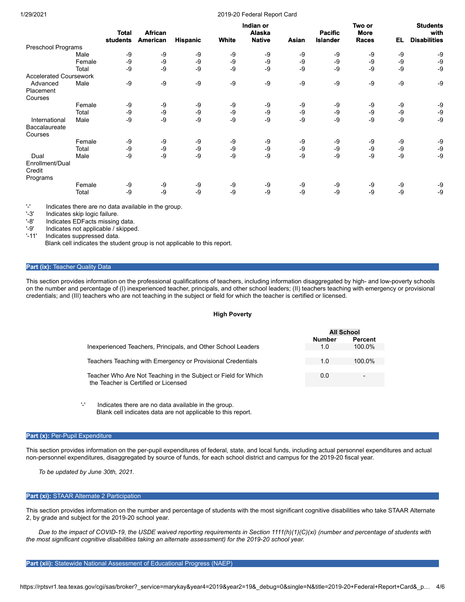#### 1/29/2021 2019-20 Federal Report Card

|                               |        | <b>Total</b> | <b>African</b>  |                 |       | Indian or<br>Alaska |       | <b>Pacific</b>  | Two or<br><b>More</b> |      | <b>Students</b><br>with |
|-------------------------------|--------|--------------|-----------------|-----------------|-------|---------------------|-------|-----------------|-----------------------|------|-------------------------|
|                               |        | students     | <b>American</b> | <b>Hispanic</b> | White | <b>Native</b>       | Asian | <b>Islander</b> | Races                 | EL   | <b>Disabilities</b>     |
| Preschool Programs            |        |              |                 |                 |       |                     |       |                 |                       |      |                         |
|                               | Male   | -9           | -9              | -9              | -9    | -9                  | -9    | -9              | -9                    | -9   | -9                      |
|                               | Female | -9           | -9              | -9              | -9    | $-9$                | -9    | -9              | -9                    | $-9$ | -9                      |
|                               | Total  | -9           | -9              | $-9$            | $-9$  | -9                  | -9    | -9              | $-9$                  | $-9$ | -9                      |
| <b>Accelerated Coursework</b> |        |              |                 |                 |       |                     |       |                 |                       |      |                         |
| Advanced                      | Male   | -9           | -9              | -9              | -9    | -9                  | -9    | -9              | $-9$                  | $-9$ | -9                      |
| Placement                     |        |              |                 |                 |       |                     |       |                 |                       |      |                         |
| Courses                       |        |              |                 |                 |       |                     |       |                 |                       |      |                         |
|                               | Female | -9           | -9              | -9              | -9    | -9                  | -9    | -9              | -9                    | -9   | -9                      |
|                               | Total  | -9           | -9              | -9              | $-9$  | -9                  | -9    | -9              | -9                    | $-9$ | $-9$                    |
| International                 | Male   | $-9$         | -9              | $-9$            | -9    | -9                  | -9    | -9              | -9                    | $-9$ | $-9$                    |
| Baccalaureate                 |        |              |                 |                 |       |                     |       |                 |                       |      |                         |
| Courses                       |        |              |                 |                 |       |                     |       |                 |                       |      |                         |
|                               | Female | -9           | -9              | -9              | -9    | -9                  | -9    | -9              | -9                    | -9   | -9                      |
|                               | Total  | -9           | -9              | -9              | -9    | -9                  | -9    | -9              | -9                    | $-9$ | $-9$                    |
| Dual                          | Male   | -9           | -9              | $-9$            | -9    | -9                  | -9    | -9              | $-9$                  | $-9$ | $-9$                    |
| Enrollment/Dual               |        |              |                 |                 |       |                     |       |                 |                       |      |                         |
| Credit                        |        |              |                 |                 |       |                     |       |                 |                       |      |                         |
| Programs                      |        |              |                 |                 |       |                     |       |                 |                       |      |                         |
|                               | Female | -9           | -9              | -9              | -9    | -9                  | -9    | -9              | -9                    | -9   | -9                      |
|                               | Total  | -9           | -9              | $-9$            | $-9$  | -9                  | -9    | -9              | -9                    | $-9$ | $-9$                    |
|                               |        |              |                 |                 |       |                     |       |                 |                       |      |                         |

'-' Indicates there are no data available in the group.

'-3' Indicates skip logic failure.<br>'-8' Indicates EDFacts missinc

Indicates EDFacts missing data.

'-9' Indicates not applicable / skipped.

Indicates suppressed data.

Blank cell indicates the student group is not applicable to this report.

#### **Part (ix): Teacher Quality Data**

This section provides information on the professional qualifications of teachers, including information disaggregated by high- and low-poverty schools on the number and percentage of (I) inexperienced teacher, principals, and other school leaders; (II) teachers teaching with emergency or provisional credentials; and (III) teachers who are not teaching in the subject or field for which the teacher is certified or licensed.

#### **High Poverty**

|                                                                                                        | <b>All School</b> |           |  |
|--------------------------------------------------------------------------------------------------------|-------------------|-----------|--|
|                                                                                                        | <b>Number</b>     | Percent   |  |
| Inexperienced Teachers, Principals, and Other School Leaders                                           | 1.0               | 100.0%    |  |
| Teachers Teaching with Emergency or Provisional Credentials                                            | 1.0               | $100.0\%$ |  |
| Teacher Who Are Not Teaching in the Subject or Field for Which<br>the Teacher is Certified or Licensed | 0.0               | -         |  |

'-' Indicates there are no data available in the group. Blank cell indicates data are not applicable to this report.

## Part (x): Per-Pupil Expenditure

This section provides information on the per-pupil expenditures of federal, state, and local funds, including actual personnel expenditures and actual non-personnel expenditures, disaggregated by source of funds, for each school district and campus for the 2019-20 fiscal year.

*To be updated by June 30th, 2021.*

## **Part (xi):** STAAR Alternate 2 Participation

This section provides information on the number and percentage of students with the most significant cognitive disabilities who take STAAR Alternate 2, by grade and subject for the 2019-20 school year.

*Due to the impact of COVID-19, the USDE waived reporting requirements in Section 1111(h)(1)(C)(xi) (number and percentage of students with the most significant cognitive disabilities taking an alternate assessment) for the 2019-20 school year.*

#### Part (xii): Statewide National Assessment of Educational Progress (NAEP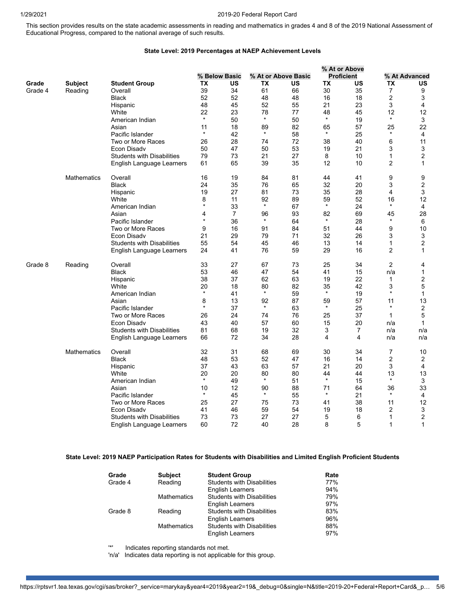## 1/29/2021 2019-20 Federal Report Card

This section provides results on the state academic assessments in reading and mathematics in grades 4 and 8 of the 2019 National Assessment of Educational Progress, compared to the national average of such results.

# **State Level: 2019 Percentages at NAEP Achievement Levels**

|         |                    |                                   |         |                |         |                     |         | % At or Above     |                |                |
|---------|--------------------|-----------------------------------|---------|----------------|---------|---------------------|---------|-------------------|----------------|----------------|
|         |                    |                                   |         | % Below Basic  |         | % At or Above Basic |         | <b>Proficient</b> |                | % At Advanced  |
| Grade   | <b>Subject</b>     | <b>Student Group</b>              | ТX      | US             | TX      | US                  | TХ      | US                | ТX             | US             |
| Grade 4 | Reading            | Overall                           | 39      | 34             | 61      | 66                  | 30      | 35                | $\overline{7}$ | 9              |
|         |                    | <b>Black</b>                      | 52      | 52             | 48      | 48                  | 16      | 18                | 2              | 3              |
|         |                    | Hispanic                          | 48      | 45             | 52      | 55                  | 21      | 23                | 3              | 4              |
|         |                    | White                             | 22      | 23             | 78      | 77                  | 48      | 45                | 12             | 12             |
|         |                    | American Indian                   | $\star$ | 50             | $\star$ | 50                  | $\star$ | 19                | $\star$        | 3              |
|         |                    | Asian                             | 11      | 18             | 89      | 82                  | 65      | 57                | 25             | 22             |
|         |                    | Pacific Islander                  | $\star$ | 42             | $\star$ | 58                  | $\star$ | 25                | $\star$        | 4              |
|         |                    | Two or More Races                 | 26      | 28             | 74      | 72                  | 38      | 40                | 6              | 11             |
|         |                    | Econ Disadv                       | 50      | 47             | 50      | 53                  | 19      | 21                | 3              | 3              |
|         |                    | <b>Students with Disabilities</b> | 79      | 73             | 21      | 27                  | 8       | 10                | $\mathbf{1}$   | $\overline{2}$ |
|         |                    | English Language Learners         | 61      | 65             | 39      | 35                  | 12      | 10                | 2              | $\mathbf{1}$   |
|         | <b>Mathematics</b> | Overall                           | 16      | 19             | 84      | 81                  | 44      | 41                | 9              | 9              |
|         |                    | <b>Black</b>                      | 24      | 35             | 76      | 65                  | 32      | 20                | 3              | 2              |
|         |                    | Hispanic                          | 19      | 27             | 81      | 73                  | 35      | 28                | 4              | 3              |
|         |                    | White                             | 8       | 11             | 92      | 89                  | 59      | 52                | 16             | 12             |
|         |                    | American Indian                   | $\star$ | 33             | $\star$ | 67                  | $\star$ | 24                | $\star$        | 4              |
|         |                    | Asian                             | 4       | $\overline{7}$ | 96      | 93                  | 82      | 69                | 45             | 28             |
|         |                    | Pacific Islander                  | $\star$ | 36             | $\star$ | 64                  | $\star$ | 28                | $\star$        | 6              |
|         |                    | Two or More Races                 | 9       | 16             | 91      | 84                  | 51      | 44                | 9              | 10             |
|         |                    | Econ Disady                       | 21      | 29             | 79      | 71                  | 32      | 26                | 3              | 3              |
|         |                    | <b>Students with Disabilities</b> | 55      | 54             | 45      | 46                  | 13      | 14                | $\mathbf{1}$   | $\overline{2}$ |
|         |                    | English Language Learners         | 24      | 41             | 76      | 59                  | 29      | 16                | $\overline{c}$ | 1              |
| Grade 8 | Reading            | Overall                           | 33      | 27             | 67      | 73                  | 25      | 34                | 2              | 4              |
|         |                    | <b>Black</b>                      | 53      | 46             | 47      | 54                  | 41      | 15                | n/a            | 1              |
|         |                    | Hispanic                          | 38      | 37             | 62      | 63                  | 19      | 22                | $\mathbf{1}$   | 2              |
|         |                    | White                             | 20      | 18             | 80      | 82                  | 35      | 42                | 3              | 5              |
|         |                    | American Indian                   | $\star$ | 41             | $\star$ | 59                  | $\star$ | 19                | $\star$        | 1              |
|         |                    | Asian                             | 8       | 13             | 92      | 87                  | 59      | 57                | 11             | 13             |
|         |                    | Pacific Islander                  | $\star$ | 37             | $\star$ | 63                  | $\star$ | 25                | $\star$        | $\overline{c}$ |
|         |                    | Two or More Races                 | 26      | 24             | 74      | 76                  | 25      | 37                | $\mathbf{1}$   | 5              |
|         |                    | Econ Disadv                       | 43      | 40             | 57      | 60                  | 15      | 20                | n/a            | 1              |
|         |                    | <b>Students with Disabilities</b> | 81      | 68             | 19      | 32                  | 3       | 7                 | n/a            | n/a            |
|         |                    | English Language Learners         | 66      | 72             | 34      | 28                  | 4       | 4                 | n/a            | n/a            |
|         | <b>Mathematics</b> | Overall                           | 32      | 31             | 68      | 69                  | 30      | 34                | 7              | 10             |
|         |                    | <b>Black</b>                      | 48      | 53             | 52      | 47                  | 16      | 14                | $\overline{2}$ | $\overline{2}$ |
|         |                    | Hispanic                          | 37      | 43             | 63      | 57                  | 21      | 20                | 3              | 4              |
|         |                    | White                             | 20      | 20             | 80      | 80                  | 44      | 44                | 13             | 13             |
|         |                    | American Indian                   | $\star$ | 49             | $\star$ | 51                  | $\star$ | 15                | $\star$        | 3              |
|         |                    | Asian                             | 10      | 12             | 90      | 88                  | 71      | 64                | 36             | 33             |
|         |                    | Pacific Islander                  | $\star$ | 45             | $\star$ | 55                  | $\star$ | 21                | $\star$        | 4              |
|         |                    | Two or More Races                 | 25      | 27             | 75      | 73                  | 41      | 38                | 11             | 12             |
|         |                    | Econ Disadv                       | 41      | 46             | 59      | 54                  | 19      | 18                | 2              | 3              |
|         |                    | <b>Students with Disabilities</b> | 73      | 73             | 27      | 27                  | 5       | 6                 | 1              | $\overline{c}$ |
|         |                    | English Language Learners         | 60      | 72             | 40      | 28                  | 8       | 5                 | $\mathbf{1}$   | 1              |

# **State Level: 2019 NAEP Participation Rates for Students with Disabilities and Limited English Proficient Students**

| Grade   | <b>Subject</b>     | <b>Student Group</b>              | Rate |
|---------|--------------------|-----------------------------------|------|
| Grade 4 | Reading            | <b>Students with Disabilities</b> | 77%  |
|         |                    | <b>English Learners</b>           | 94%  |
|         | <b>Mathematics</b> | <b>Students with Disabilities</b> | 79%  |
|         |                    | <b>English Learners</b>           | 97%  |
| Grade 8 | Reading            | <b>Students with Disabilities</b> | 83%  |
|         |                    | <b>English Learners</b>           | 96%  |
|         | <b>Mathematics</b> | <b>Students with Disabilities</b> | 88%  |
|         |                    | <b>English Learners</b>           | 97%  |

'\*' Indicates reporting standards not met.

'n/a' Indicates data reporting is not applicable for this group.